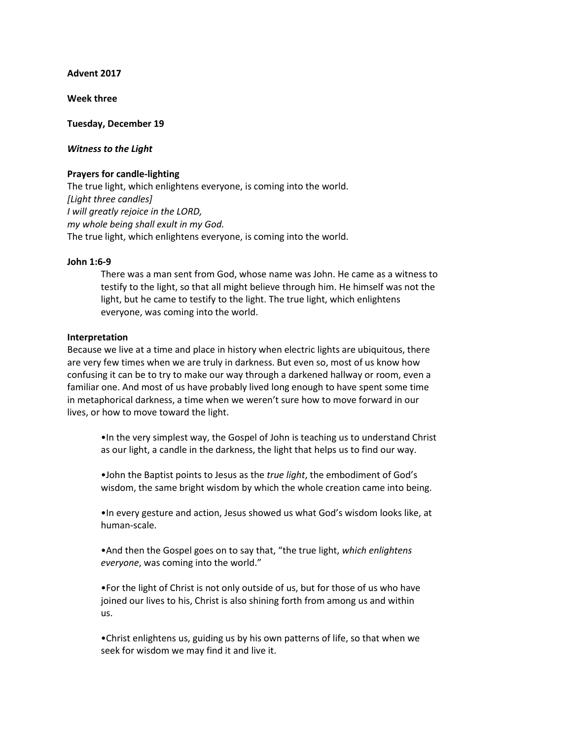**Advent 2017**

**Week three**

**Tuesday, December 19**

### *Witness to the Light*

## **Prayers for candle-lighting**

The true light, which enlightens everyone, is coming into the world. *[Light three candles] I will greatly rejoice in the LORD, my whole being shall exult in my God.* The true light, which enlightens everyone, is coming into the world.

### **John 1:6-9**

There was a man sent from God, whose name was John. He came as a witness to testify to the light, so that all might believe through him. He himself was not the light, but he came to testify to the light. The true light, which enlightens everyone, was coming into the world.

#### **Interpretation**

Because we live at a time and place in history when electric lights are ubiquitous, there are very few times when we are truly in darkness. But even so, most of us know how confusing it can be to try to make our way through a darkened hallway or room, even a familiar one. And most of us have probably lived long enough to have spent some time in metaphorical darkness, a time when we weren't sure how to move forward in our lives, or how to move toward the light.

•In the very simplest way, the Gospel of John is teaching us to understand Christ as our light, a candle in the darkness, the light that helps us to find our way.

•John the Baptist points to Jesus as the *true light*, the embodiment of God's wisdom, the same bright wisdom by which the whole creation came into being.

•In every gesture and action, Jesus showed us what God's wisdom looks like, at human-scale.

•And then the Gospel goes on to say that, "the true light, *which enlightens everyone*, was coming into the world."

•For the light of Christ is not only outside of us, but for those of us who have joined our lives to his, Christ is also shining forth from among us and within us.

•Christ enlightens us, guiding us by his own patterns of life, so that when we seek for wisdom we may find it and live it.